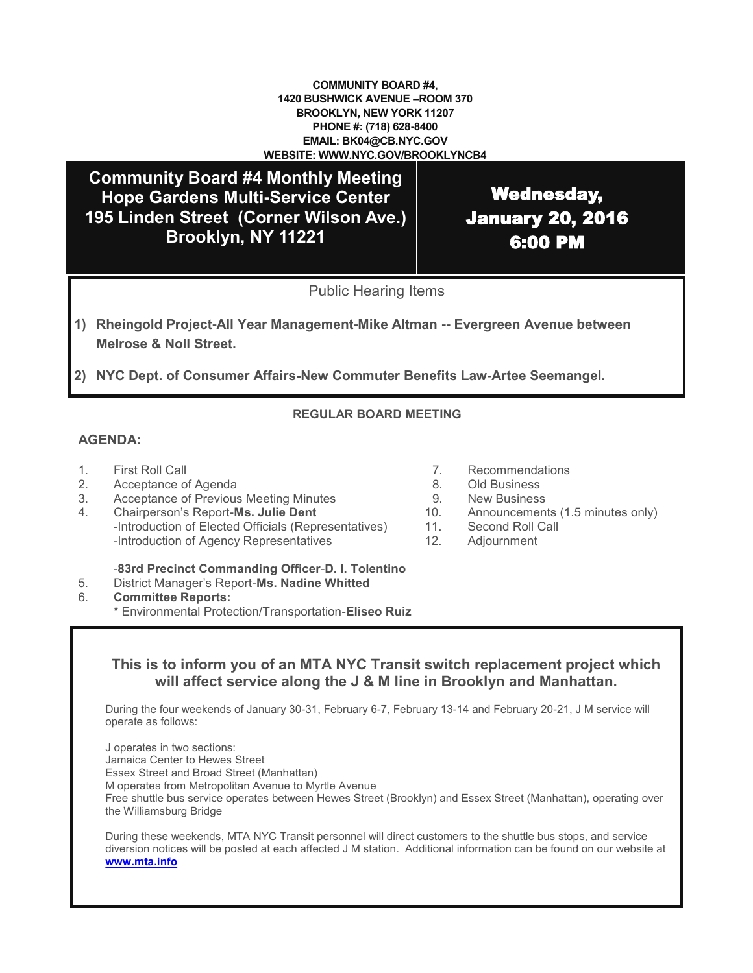#### **COMMUNITY BOARD #4, 1420 BUSHWICK AVENUE –ROOM 370 BROOKLYN, NEW YORK 11207 PHONE #: (718) 628-8400 EMAIL: BK04@CB.NYC.GOV WEBSITE: WWW.NYC.GOV/BROOKLYNCB4**

**Community Board #4 Monthly Meeting Hope Gardens Multi-Service Center 195 Linden Street (Corner Wilson Ave.) Brooklyn, NY 11221**

Wednesday, January 20, 2016 6:00 PM

Public Hearing Items

- **1) Rheingold Project-All Year Management-Mike Altman -- Evergreen Avenue between Melrose & Noll Street.**
- **2) NYC Dept. of Consumer Affairs-New Commuter Benefits Law**-**Artee Seemangel.**

### **REGULAR BOARD MEETING**

### **AGENDA:**

- 
- 2. Acceptance of Agenda 8. Old Business
- 3. Acceptance of Previous Meeting Minutes 9. New Business
- 4. Chairperson's Report-**Ms. Julie Dent** 10. Announcements (1.5 minutes only) -Introduction of Elected Officials (Representatives) 11. Second Roll Call -Introduction of Agency Representatives 12. Adjournment
- 1. First Roll Call 7. Recommendations
	-
	-
	-
	-
	-

-**83rd Precinct Commanding Officer**-**D. I. Tolentino**

- 5. District Manager's Report-**Ms. Nadine Whitted**
- 6. **Committee Reports:**
	- **\*** Environmental Protection/Transportation-**Eliseo Ruiz**

## **This is to inform you of an MTA NYC Transit switch replacement project which will affect service along the J & M line in Brooklyn and Manhattan.**

During the four weekends of January 30-31, February 6-7, February 13-14 and February 20-21, J M service will operate as follows:

J operates in two sections: Jamaica Center to Hewes Street

Essex Street and Broad Street (Manhattan)

M operates from Metropolitan Avenue to Myrtle Avenue

Free shuttle bus service operates between Hewes Street (Brooklyn) and Essex Street (Manhattan), operating over the Williamsburg Bridge

During these weekends, MTA NYC Transit personnel will direct customers to the shuttle bus stops, and service diversion notices will be posted at each affected J M station. Additional information can be found on our website at **[www.mta.info](http://www.mta.info)**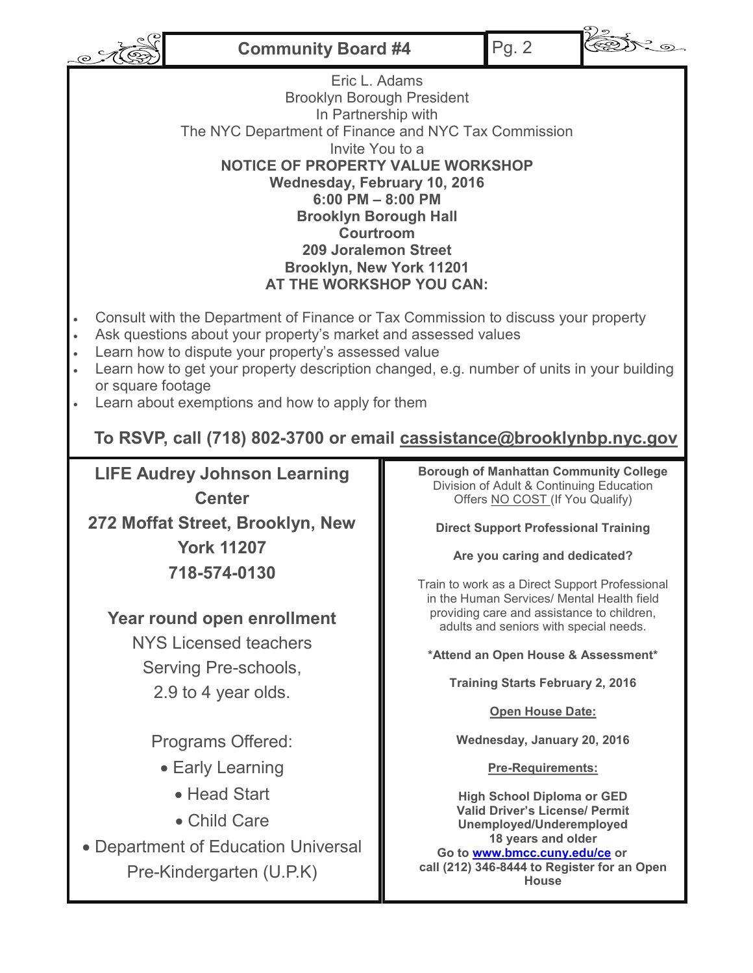**Community Board #4** Pg. 2





 $\mathcal{C}$ Eric L. Adams Brooklyn Borough President In Partnership with The NYC Department of Finance and NYC Tax Commission Invite You to a **NOTICE OF PROPERTY VALUE WORKSHOP Wednesday, February 10, 2016 6:00 PM – 8:00 PM Brooklyn Borough Hall Courtroom 209 Joralemon Street Brooklyn, New York 11201 AT THE WORKSHOP YOU CAN:** Consult with the Department of Finance or Tax Commission to discuss your property Ask questions about your property's market and assessed values Learn how to dispute your property's assessed value Learn how to get your property description changed, e.g. number of units in your building or square footage Learn about exemptions and how to apply for them **To RSVP, call (718) 802-3700 or email cassistance@brooklynbp.nyc.gov Borough of Manhattan Community College LIFE Audrey Johnson Learning**  Division of Adult & Continuing Education **Center** Offers NO COST (If You Qualify) **272 Moffat Street, Brooklyn, New Direct Support Professional Training York 11207 Are you caring and dedicated? 718-574-0130** Train to work as a Direct Support Professional in the Human Services/ Mental Health field providing care and assistance to children, **Year round open enrollment**  adults and seniors with special needs. NYS Licensed teachers **\*Attend an Open House & Assessment\*** Serving Pre-schools, **Training Starts February 2, 2016** 2.9 to 4 year olds. **Open House Date:** Programs Offered: **Wednesday, January 20, 2016** Early Learning **Pre-Requirements:** Head Start **High School Diploma or GED Valid Driver's License/ Permit** Child Care **Unemployed/Underemployed 18 years and older** Department of Education Universal **Go to [www.bmcc.cuny.edu/ce](http://www.bmcc.cuny.edu/ce) or call (212) 346-8444 to Register for an Open**  Pre-Kindergarten (U.P.K) **House**